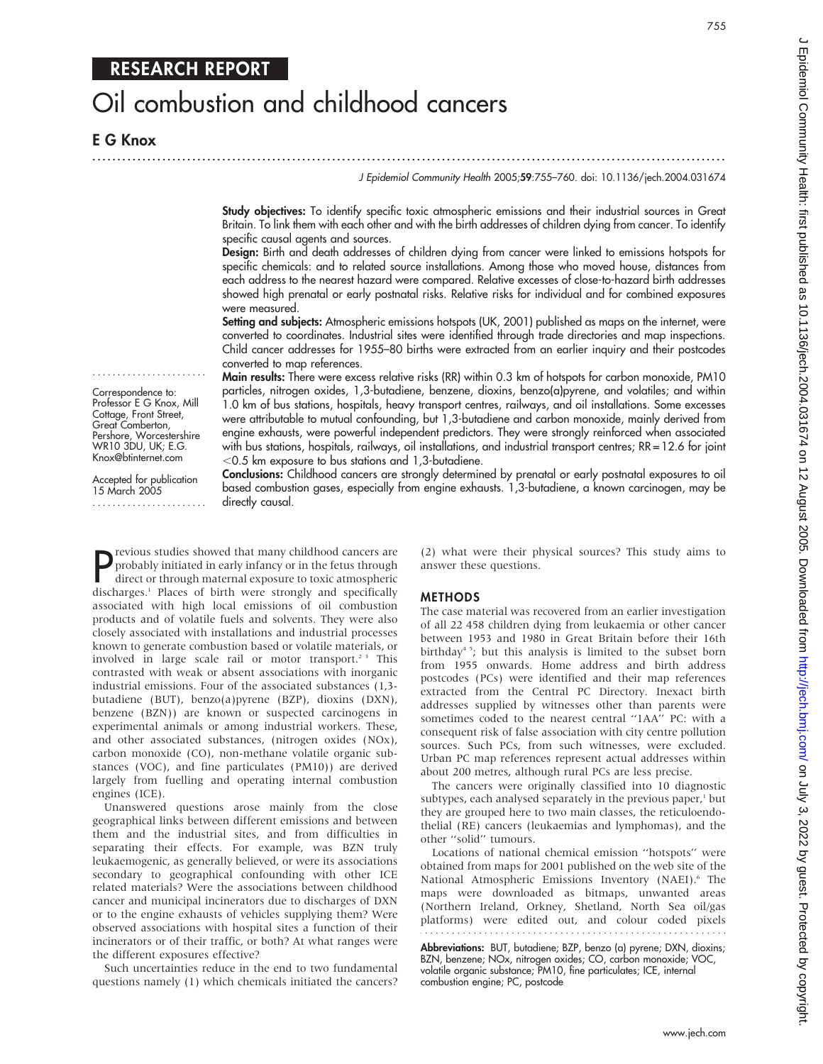# Oil combustion and childhood cancers

E G Knox

...............................................................................................................................

J Epidemiol Community Health 2005;59:755–760. doi: 10.1136/jech.2004.031674

Study objectives: To identify specific toxic atmospheric emissions and their industrial sources in Great Britain. To link them with each other and with the birth addresses of children dying from cancer. To identify specific causal agents and sources.

Design: Birth and death addresses of children dying from cancer were linked to emissions hotspots for specific chemicals: and to related source installations. Among those who moved house, distances from each address to the nearest hazard were compared. Relative excesses of close-to-hazard birth addresses showed high prenatal or early postnatal risks. Relative risks for individual and for combined exposures were measured.

Setting and subjects: Atmospheric emissions hotspots (UK, 2001) published as maps on the internet, were converted to coordinates. Industrial sites were identified through trade directories and map inspections. Child cancer addresses for 1955–80 births were extracted from an earlier inquiry and their postcodes converted to map references.

Main results: There were excess relative risks (RR) within 0.3 km of hotspots for carbon monoxide, PM10 particles, nitrogen oxides, 1,3-butadiene, benzene, dioxins, benzo(a)pyrene, and volatiles; and within 1.0 km of bus stations, hospitals, heavy transport centres, railways, and oil installations. Some excesses were attributable to mutual confounding, but 1,3-butadiene and carbon monoxide, mainly derived from engine exhausts, were powerful independent predictors. They were strongly reinforced when associated with bus stations, hospitals, railways, oil installations, and industrial transport centres; RR = 12.6 for joint  $<$  0.5 km exposure to bus stations and 1,3-butadiene.

Conclusions: Childhood cancers are strongly determined by prenatal or early postnatal exposures to oil based combustion gases, especially from engine exhausts. 1,3-butadiene, a known carcinogen, may be directly causal.

**P** probably initiated in early infancy or in the fetus through<br>direct or through maternal exposure to toxic atmospheric<br>discharge  $\frac{1}{2}$  Places, of birth were, strongly, and specifically probably initiated in early infancy or in the fetus through direct or through maternal exposure to toxic atmospheric discharges.1 Places of birth were strongly and specifically associated with high local emissions of oil combustion products and of volatile fuels and solvents. They were also closely associated with installations and industrial processes known to generate combustion based or volatile materials, or involved in large scale rail or motor transport.<sup>2 3</sup> This contrasted with weak or absent associations with inorganic industrial emissions. Four of the associated substances (1,3 butadiene (BUT), benzo(a)pyrene (BZP), dioxins (DXN), benzene (BZN)) are known or suspected carcinogens in experimental animals or among industrial workers. These, and other associated substances, (nitrogen oxides (NOx), carbon monoxide (CO), non-methane volatile organic substances (VOC), and fine particulates (PM10)) are derived largely from fuelling and operating internal combustion engines (ICE).

Unanswered questions arose mainly from the close geographical links between different emissions and between them and the industrial sites, and from difficulties in separating their effects. For example, was BZN truly leukaemogenic, as generally believed, or were its associations secondary to geographical confounding with other ICE related materials? Were the associations between childhood cancer and municipal incinerators due to discharges of DXN or to the engine exhausts of vehicles supplying them? Were observed associations with hospital sites a function of their incinerators or of their traffic, or both? At what ranges were the different exposures effective?

Such uncertainties reduce in the end to two fundamental questions namely (1) which chemicals initiated the cancers?

(2) what were their physical sources? This study aims to answer these questions.

### METHODS

The case material was recovered from an earlier investigation of all 22 458 children dying from leukaemia or other cancer between 1953 and 1980 in Great Britain before their 16th birthday<sup>45</sup>; but this analysis is limited to the subset born from 1955 onwards. Home address and birth address postcodes (PCs) were identified and their map references extracted from the Central PC Directory. Inexact birth addresses supplied by witnesses other than parents were sometimes coded to the nearest central ''1AA'' PC: with a consequent risk of false association with city centre pollution sources. Such PCs, from such witnesses, were excluded. Urban PC map references represent actual addresses within about 200 metres, although rural PCs are less precise.

The cancers were originally classified into 10 diagnostic subtypes, each analysed separately in the previous paper,<sup>1</sup> but they are grouped here to two main classes, the reticuloendothelial (RE) cancers (leukaemias and lymphomas), and the other ''solid'' tumours.

Locations of national chemical emission ''hotspots'' were obtained from maps for 2001 published on the web site of the National Atmospheric Emissions Inventory (NAEI).<sup>6</sup> The maps were downloaded as bitmaps, unwanted areas (Northern Ireland, Orkney, Shetland, North Sea oil/gas platforms) were edited out, and colour coded pixels

Abbreviations: BUT, butadiene; BZP, benzo (a) pyrene; DXN, dioxins; BZN, benzene; NOx, nitrogen oxides; CO, carbon monoxide; VOC, volatile organic substance; PM10, fine particulates; ICE, internal combustion engine; PC, postcode

Correspondence to: Professor E G Knox, Mill Cottage, Front Street, Great Comberton, Pershore, Worcestershire WR10 3DU, UK; E.G. Knox@btinternet.com

.......................

Accepted for publication 15 March 2005 .......................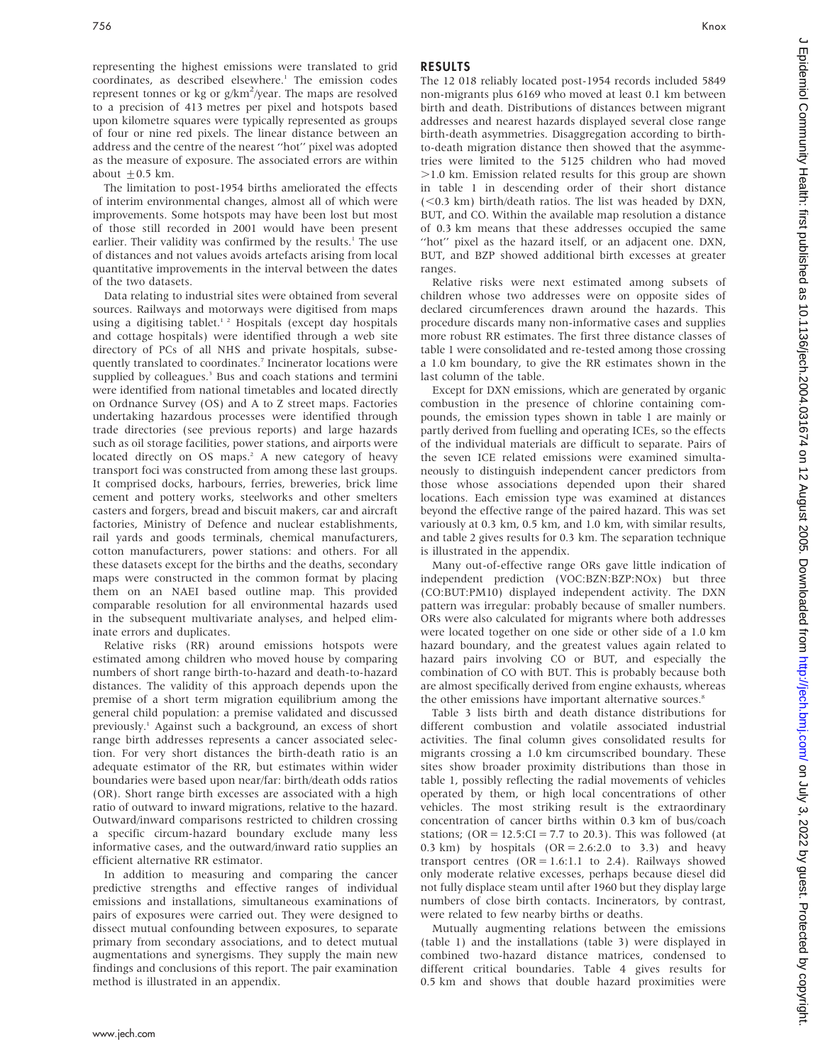representing the highest emissions were translated to grid coordinates, as described elsewhere.<sup>1</sup> The emission codes represent tonnes or kg or g/km<sup>2</sup>/year. The maps are resolved to a precision of 413 metres per pixel and hotspots based upon kilometre squares were typically represented as groups of four or nine red pixels. The linear distance between an address and the centre of the nearest ''hot'' pixel was adopted as the measure of exposure. The associated errors are within about  $+0.5$  km.

The limitation to post-1954 births ameliorated the effects of interim environmental changes, almost all of which were improvements. Some hotspots may have been lost but most of those still recorded in 2001 would have been present earlier. Their validity was confirmed by the results.<sup>1</sup> The use of distances and not values avoids artefacts arising from local quantitative improvements in the interval between the dates of the two datasets.

Data relating to industrial sites were obtained from several sources. Railways and motorways were digitised from maps using a digitising tablet.<sup>12</sup> Hospitals (except day hospitals and cottage hospitals) were identified through a web site directory of PCs of all NHS and private hospitals, subsequently translated to coordinates.<sup>7</sup> Incinerator locations were supplied by colleagues.<sup>3</sup> Bus and coach stations and termini were identified from national timetables and located directly on Ordnance Survey (OS) and A to Z street maps. Factories undertaking hazardous processes were identified through trade directories (see previous reports) and large hazards such as oil storage facilities, power stations, and airports were located directly on OS maps.<sup>2</sup> A new category of heavy transport foci was constructed from among these last groups. It comprised docks, harbours, ferries, breweries, brick lime cement and pottery works, steelworks and other smelters casters and forgers, bread and biscuit makers, car and aircraft factories, Ministry of Defence and nuclear establishments, rail yards and goods terminals, chemical manufacturers, cotton manufacturers, power stations: and others. For all these datasets except for the births and the deaths, secondary maps were constructed in the common format by placing them on an NAEI based outline map. This provided comparable resolution for all environmental hazards used in the subsequent multivariate analyses, and helped eliminate errors and duplicates.

Relative risks (RR) around emissions hotspots were estimated among children who moved house by comparing numbers of short range birth-to-hazard and death-to-hazard distances. The validity of this approach depends upon the premise of a short term migration equilibrium among the general child population: a premise validated and discussed previously.1 Against such a background, an excess of short range birth addresses represents a cancer associated selection. For very short distances the birth-death ratio is an adequate estimator of the RR, but estimates within wider boundaries were based upon near/far: birth/death odds ratios (OR). Short range birth excesses are associated with a high ratio of outward to inward migrations, relative to the hazard. Outward/inward comparisons restricted to children crossing a specific circum-hazard boundary exclude many less informative cases, and the outward/inward ratio supplies an efficient alternative RR estimator.

In addition to measuring and comparing the cancer predictive strengths and effective ranges of individual emissions and installations, simultaneous examinations of pairs of exposures were carried out. They were designed to dissect mutual confounding between exposures, to separate primary from secondary associations, and to detect mutual augmentations and synergisms. They supply the main new findings and conclusions of this report. The pair examination method is illustrated in an appendix.

## RESULTS

The 12 018 reliably located post-1954 records included 5849 non-migrants plus 6169 who moved at least 0.1 km between birth and death. Distributions of distances between migrant addresses and nearest hazards displayed several close range birth-death asymmetries. Disaggregation according to birthto-death migration distance then showed that the asymmetries were limited to the 5125 children who had moved .1.0 km. Emission related results for this group are shown in table 1 in descending order of their short distance  $(<$ 0.3 km) birth/death ratios. The list was headed by DXN, BUT, and CO. Within the available map resolution a distance of 0.3 km means that these addresses occupied the same "hot" pixel as the hazard itself, or an adjacent one. DXN, BUT, and BZP showed additional birth excesses at greater ranges.

Relative risks were next estimated among subsets of children whose two addresses were on opposite sides of declared circumferences drawn around the hazards. This procedure discards many non-informative cases and supplies more robust RR estimates. The first three distance classes of table 1 were consolidated and re-tested among those crossing a 1.0 km boundary, to give the RR estimates shown in the last column of the table.

Except for DXN emissions, which are generated by organic combustion in the presence of chlorine containing compounds, the emission types shown in table 1 are mainly or partly derived from fuelling and operating ICEs, so the effects of the individual materials are difficult to separate. Pairs of the seven ICE related emissions were examined simultaneously to distinguish independent cancer predictors from those whose associations depended upon their shared locations. Each emission type was examined at distances beyond the effective range of the paired hazard. This was set variously at 0.3 km, 0.5 km, and 1.0 km, with similar results, and table 2 gives results for 0.3 km. The separation technique is illustrated in the appendix.

Many out-of-effective range ORs gave little indication of independent prediction (VOC:BZN:BZP:NOx) but three (CO:BUT:PM10) displayed independent activity. The DXN pattern was irregular: probably because of smaller numbers. ORs were also calculated for migrants where both addresses were located together on one side or other side of a 1.0 km hazard boundary, and the greatest values again related to hazard pairs involving CO or BUT, and especially the combination of CO with BUT. This is probably because both are almost specifically derived from engine exhausts, whereas the other emissions have important alternative sources.<sup>8</sup>

Table 3 lists birth and death distance distributions for different combustion and volatile associated industrial activities. The final column gives consolidated results for migrants crossing a 1.0 km circumscribed boundary. These sites show broader proximity distributions than those in table 1, possibly reflecting the radial movements of vehicles operated by them, or high local concentrations of other vehicles. The most striking result is the extraordinary concentration of cancer births within 0.3 km of bus/coach stations;  $(OR = 12.5:CI = 7.7$  to 20.3). This was followed (at 0.3 km) by hospitals  $(OR = 2.6:2.0 \text{ to } 3.3)$  and heavy transport centres  $(OR = 1.6:1.1$  to 2.4). Railways showed only moderate relative excesses, perhaps because diesel did not fully displace steam until after 1960 but they display large numbers of close birth contacts. Incinerators, by contrast, were related to few nearby births or deaths.

Mutually augmenting relations between the emissions (table 1) and the installations (table 3) were displayed in combined two-hazard distance matrices, condensed to different critical boundaries. Table 4 gives results for 0.5 km and shows that double hazard proximities were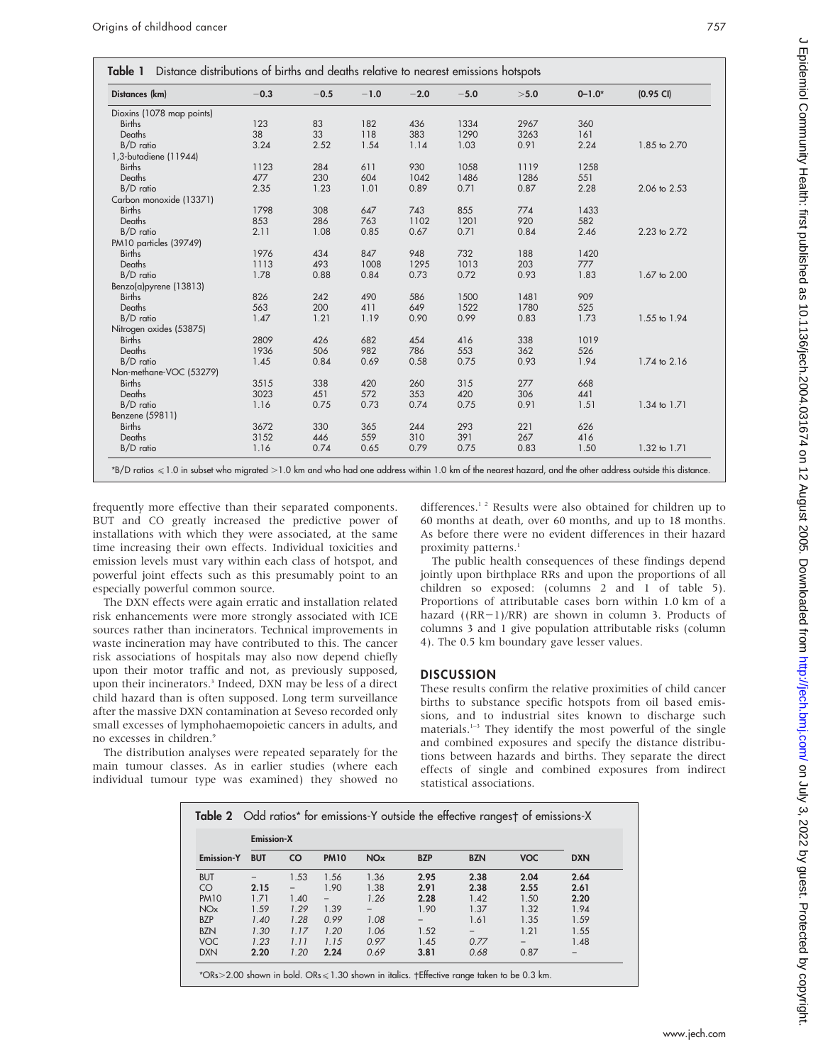| Distances (km)            | $-0.3$ | $-0.5$ | $-1.0$ | $-2.0$ | $-5.0$ | >5.0 | $0 - 1.0*$ | $(0.95 \text{ Cl})$ |
|---------------------------|--------|--------|--------|--------|--------|------|------------|---------------------|
| Dioxins (1078 map points) |        |        |        |        |        |      |            |                     |
| <b>Births</b>             | 123    | 83     | 182    | 436    | 1334   | 2967 | 360        |                     |
| Deaths                    | 38     | 33     | 118    | 383    | 1290   | 3263 | 161        |                     |
| $B/D$ ratio               | 3.24   | 2.52   | 1.54   | 1.14   | 1.03   | 0.91 | 2.24       | 1.85 to 2.70        |
| 1,3-butadiene (11944)     |        |        |        |        |        |      |            |                     |
| <b>Births</b>             | 1123   | 284    | 611    | 930    | 1058   | 1119 | 1258       |                     |
| Deaths                    | 477    | 230    | 604    | 1042   | 1486   | 1286 | 551        |                     |
| $B/D$ ratio               | 2.35   | 1.23   | 1.01   | 0.89   | 0.71   | 0.87 | 2.28       | 2.06 to 2.53        |
| Carbon monoxide (13371)   |        |        |        |        |        |      |            |                     |
| <b>Births</b>             | 1798   | 308    | 647    | 743    | 855    | 774  | 1433       |                     |
| Deaths                    | 853    | 286    | 763    | 1102   | 1201   | 920  | 582        |                     |
| $B/D$ ratio               | 2.11   | 1.08   | 0.85   | 0.67   | 0.71   | 0.84 | 2.46       | 2.23 to 2.72        |
| PM10 particles (39749)    |        |        |        |        |        |      |            |                     |
| <b>Births</b>             | 1976   | 434    | 847    | 948    | 732    | 188  | 1420       |                     |
| Deaths                    | 1113   | 493    | 1008   | 1295   | 1013   | 203  | 777        |                     |
| $B/D$ ratio               | 1.78   | 0.88   | 0.84   | 0.73   | 0.72   | 0.93 | 1.83       | 1.67 to 2.00        |
| Benzo(a)pyrene (13813)    |        |        |        |        |        |      |            |                     |
| <b>Births</b>             | 826    | 242    | 490    | 586    | 1500   | 1481 | 909        |                     |
| Deaths                    | 563    | 200    | 411    | 649    | 1522   | 1780 | 525        |                     |
| B/D ratio                 | 1.47   | 1.21   | 1.19   | 0.90   | 0.99   | 0.83 | 1.73       | 1.55 to 1.94        |
| Nitrogen oxides (53875)   |        |        |        |        |        |      |            |                     |
| <b>Births</b>             | 2809   | 426    | 682    | 454    | 416    | 338  | 1019       |                     |
| Deaths                    | 1936   | 506    | 982    | 786    | 553    | 362  | 526        |                     |
| $B/D$ ratio               | 1.45   | 0.84   | 0.69   | 0.58   | 0.75   | 0.93 | 1.94       | 1.74 to 2.16        |
| Non-methane-VOC (53279)   |        |        |        |        |        |      |            |                     |
| <b>Births</b>             | 3515   | 338    | 420    | 260    | 315    | 277  | 668        |                     |
| Deaths                    | 3023   | 451    | 572    | 353    | 420    | 306  | 441        |                     |
| $B/D$ ratio               | 1.16   | 0.75   | 0.73   | 0.74   | 0.75   | 0.91 | 1.51       | 1.34 to 1.71        |
| Benzene (59811)           |        |        |        |        |        |      |            |                     |
| <b>Births</b>             | 3672   | 330    | 365    | 244    | 293    | 221  | 626        |                     |
| Deaths                    | 3152   | 446    | 559    | 310    | 391    | 267  | 416        |                     |
| $B/D$ ratio               | 1.16   | 0.74   | 0.65   | 0.79   | 0.75   | 0.83 | 1.50       | 1.32 to 1.71        |

frequently more effective than their separated components. BUT and CO greatly increased the predictive power of installations with which they were associated, at the same time increasing their own effects. Individual toxicities and emission levels must vary within each class of hotspot, and powerful joint effects such as this presumably point to an especially powerful common source.

The DXN effects were again erratic and installation related risk enhancements were more strongly associated with ICE sources rather than incinerators. Technical improvements in waste incineration may have contributed to this. The cancer risk associations of hospitals may also now depend chiefly upon their motor traffic and not, as previously supposed, upon their incinerators.<sup>3</sup> Indeed, DXN may be less of a direct child hazard than is often supposed. Long term surveillance after the massive DXN contamination at Seveso recorded only small excesses of lymphohaemopoietic cancers in adults, and no excesses in children.<sup>9</sup>

The distribution analyses were repeated separately for the main tumour classes. As in earlier studies (where each individual tumour type was examined) they showed no differences.<sup>12</sup> Results were also obtained for children up to 60 months at death, over 60 months, and up to 18 months. As before there were no evident differences in their hazard proximity patterns.<sup>1</sup>

The public health consequences of these findings depend jointly upon birthplace RRs and upon the proportions of all children so exposed: (columns 2 and 1 of table 5). Proportions of attributable cases born within 1.0 km of a hazard  $((RR-1)/RR)$  are shown in column 3. Products of columns 3 and 1 give population attributable risks (column 4). The 0.5 km boundary gave lesser values.

### **DISCUSSION**

These results confirm the relative proximities of child cancer births to substance specific hotspots from oil based emissions, and to industrial sites known to discharge such materials.1–3 They identify the most powerful of the single and combined exposures and specify the distance distributions between hazards and births. They separate the direct effects of single and combined exposures from indirect statistical associations.

|                       | <b>Emission-X</b> |           |             |                          |                          |            |            |            |
|-----------------------|-------------------|-----------|-------------|--------------------------|--------------------------|------------|------------|------------|
| <b>Emission-Y</b>     | <b>BUT</b>        | <b>CO</b> | <b>PM10</b> | <b>NO<sub>x</sub></b>    | <b>BZP</b>               | <b>BZN</b> | <b>VOC</b> | <b>DXN</b> |
| <b>BUT</b>            |                   | 1.53      | 1.56        | 1.36                     | 2.95                     | 2.38       | 2.04       | 2.64       |
| CO                    | 2.15              |           | 1.90        | 1.38                     | 2.91                     | 2.38       | 2.55       | 2.61       |
| <b>PM10</b>           | 1.71              | 1.40      |             | 1.26                     | 2.28                     | 1.42       | 1.50       | 2.20       |
| <b>NO<sub>x</sub></b> | 1.59              | 1.29      | 1.39        | $\overline{\phantom{0}}$ | 1.90                     | 1.37       | 1.32       | 1.94       |
| <b>BZP</b>            | 1.40              | 1.28      | 0.99        | 1.08                     | $\overline{\phantom{0}}$ | 1.61       | 1.35       | 1.59       |
| <b>BZN</b>            | 1.30              | 1.17      | 1.20        | 1.06                     | 1.52                     |            | 1.21       | 1.55       |
| <b>VOC</b>            | 1.23              | 1.11      | 1.15        | 0.97                     | 1.45                     | 0.77       |            | 1.48       |
| <b>DXN</b>            | 2.20              | 1.20      | 2.24        | 0.69                     | 3.81                     | 0.68       | 0.87       |            |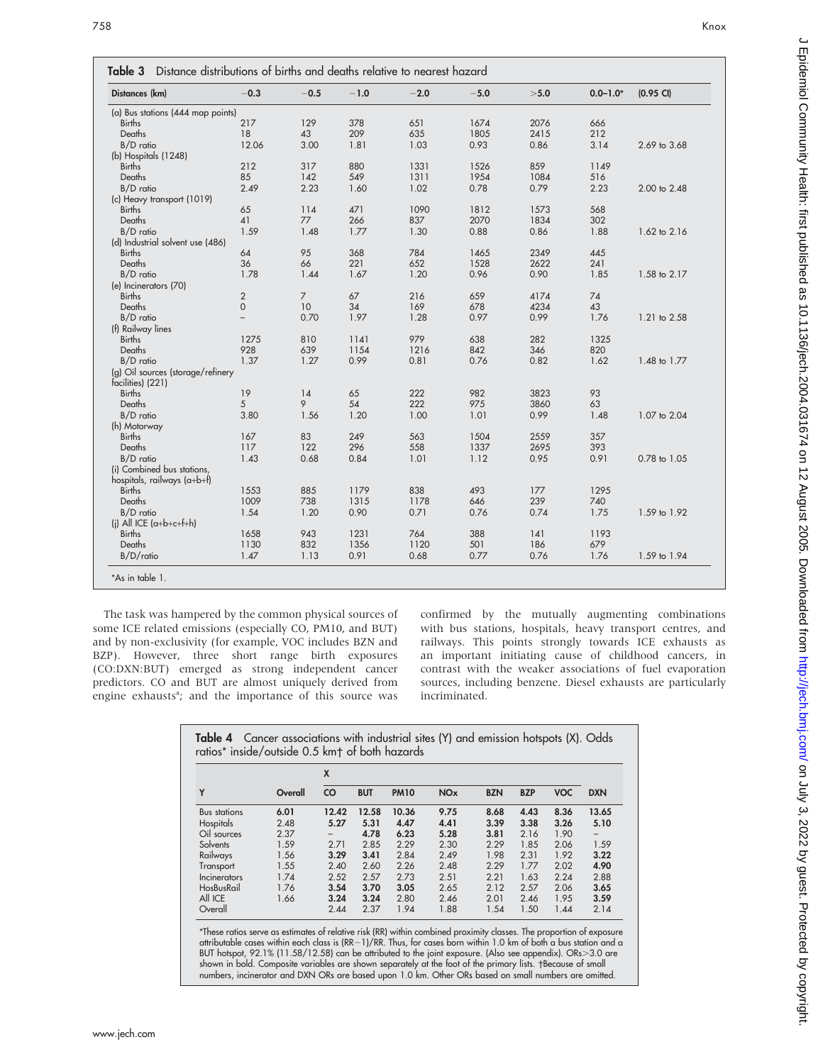| Distances (km)                                         | $-0.3$                   | $-0.5$         | $-1.0$       | $-2.0$ | $-5.0$ | >5.0 | $0.0 - 1.0*$ | $(0.95 \text{ Cl})$ |
|--------------------------------------------------------|--------------------------|----------------|--------------|--------|--------|------|--------------|---------------------|
| (a) Bus stations (444 map points)                      |                          |                |              |        |        |      |              |                     |
| <b>Births</b>                                          | 217                      | 129            | 378          | 651    | 1674   | 2076 | 666          |                     |
| Deaths                                                 | 18                       | 43             | 209          | 635    | 1805   | 2415 | 212          |                     |
| $B/D$ ratio                                            | 12.06                    | 3.00           | 1.81         | 1.03   | 0.93   | 0.86 | 3.14         | 2.69 to 3.68        |
| (b) Hospitals (1248)                                   |                          |                |              |        |        |      |              |                     |
| <b>Births</b>                                          | 212                      | 317            | 880          | 1331   | 1526   | 859  | 1149         |                     |
| Deaths                                                 | 85                       | 142            | 549          | 1311   | 1954   | 1084 | 516          |                     |
| $B/D$ ratio                                            | 2.49                     | 2.23           | 1.60         | 1.02   | 0.78   | 0.79 | 2.23         | 2.00 to 2.48        |
| (c) Heavy transport (1019)                             |                          |                |              |        |        |      |              |                     |
| <b>Births</b>                                          | 65                       | 114            | 471          | 1090   | 1812   | 1573 | 568          |                     |
| Deaths                                                 | 41                       | 77             | 266          | 837    | 2070   | 1834 | 302          |                     |
| $B/D$ ratio                                            | 1.59                     | 1.48           | 1.77         | 1.30   | 0.88   | 0.86 | 1.88         | 1.62 to 2.16        |
| (d) Industrial solvent use (486)                       |                          |                |              |        |        |      |              |                     |
| <b>Births</b>                                          | 64                       | 95             | 368          | 784    | 1465   | 2349 | 445          |                     |
| Deaths                                                 | 36                       | 66             | 221          | 652    | 1528   | 2622 | 241          |                     |
| B/D ratio                                              | 1.78                     | 1.44           | 1.67         | 1.20   | 0.96   | 0.90 | 1.85         | 1.58 to 2.17        |
| (e) Incinerators (70)                                  |                          |                |              |        |        |      |              |                     |
| <b>Births</b>                                          | $\overline{2}$           | $\overline{7}$ | 67           | 216    | 659    | 4174 | 74           |                     |
| Deaths                                                 | $\mathbf{O}$             | 10             | 34           | 169    | 678    | 4234 | 43           |                     |
| $B/D$ ratio                                            | $\overline{\phantom{a}}$ | 0.70           | 1.97         | 1.28   | 0.97   | 0.99 | 1.76         | 1.21 to 2.58        |
| (f) Railway lines                                      |                          |                |              |        |        |      |              |                     |
| <b>Births</b>                                          |                          |                |              | 979    | 638    | 282  | 1325         |                     |
|                                                        | 1275<br>928              | 810<br>639     | 1141         |        | 842    |      | 820          |                     |
| Deaths                                                 | 1.37                     |                | 1154<br>0.99 | 1216   | 0.76   | 346  |              |                     |
| B/D ratio                                              |                          | 1.27           |              | 0.81   |        | 0.82 | 1.62         | 1.48 to 1.77        |
| (g) Oil sources (storage/refinery<br>facilities) (221) |                          |                |              |        |        |      |              |                     |
| <b>Births</b>                                          | 19                       | 14             | 65           | 222    | 982    | 3823 | 93           |                     |
| Deaths                                                 | 5                        | 9              | 54           | 222    | 975    | 3860 | 63           |                     |
| $B/D$ ratio                                            | 3.80                     | 1.56           | 1.20         | 1.00   | 1.01   | 0.99 | 1.48         | 1.07 to 2.04        |
| (h) Motorway                                           |                          |                |              |        |        |      |              |                     |
| <b>Births</b>                                          | 167                      | 83             | 249          | 563    | 1504   | 2559 | 357          |                     |
| Deaths                                                 | 117                      | 122            | 296          | 558    | 1337   | 2695 | 393          |                     |
| $B/D$ ratio                                            | 1.43                     | 0.68           | 0.84         | 1.01   | 1.12   | 0.95 | 0.91         | 0.78 to 1.05        |
| (i) Combined bus stations,                             |                          |                |              |        |        |      |              |                     |
| hospitals, railways (a+b+f)                            |                          |                |              |        |        |      |              |                     |
| <b>Births</b>                                          | 1553                     | 885            | 1179         | 838    | 493    | 177  | 1295         |                     |
| Deaths                                                 | 1009                     | 738            | 1315         | 1178   | 646    | 239  | 740          |                     |
| $B/D$ ratio                                            | 1.54                     | 1.20           | 0.90         | 0.71   | 0.76   | 0.74 | 1.75         | 1.59 to 1.92        |
| (i) All ICE $(a+b+c+f+h)$                              |                          |                |              |        |        |      |              |                     |
| <b>Births</b>                                          | 1658                     | 943            | 1231         | 764    | 388    | 141  | 1193         |                     |
| Deaths                                                 | 1130                     | 832            | 1356         | 1120   | 501    | 186  | 679          |                     |
| B/D/ratio                                              | 1.47                     | 1.13           | 0.91         | 0.68   | 0.77   | 0.76 | 1.76         | 1.59 to 1.94        |

The task was hampered by the common physical sources of some ICE related emissions (especially CO, PM10, and BUT) and by non-exclusivity (for example, VOC includes BZN and BZP). However, three short range birth exposures (CO:DXN:BUT) emerged as strong independent cancer predictors. CO and BUT are almost uniquely derived from engine exhausts<sup>8</sup>; and the importance of this source was

confirmed by the mutually augmenting combinations with bus stations, hospitals, heavy transport centres, and railways. This points strongly towards ICE exhausts as an important initiating cause of childhood cancers, in contrast with the weaker associations of fuel evaporation sources, including benzene. Diesel exhausts are particularly incriminated.

| Table 4 Cancer associations with industrial sites (Y) and emission hotspots (X). Odds<br>ratios* inside/outside 0.5 km <sup>+</sup> of both hazards |         |       |            |             |                       |            |            |            |                          |
|-----------------------------------------------------------------------------------------------------------------------------------------------------|---------|-------|------------|-------------|-----------------------|------------|------------|------------|--------------------------|
|                                                                                                                                                     |         | X     |            |             |                       |            |            |            |                          |
| Y                                                                                                                                                   | Overall | CO    | <b>BUT</b> | <b>PM10</b> | <b>NO<sub>x</sub></b> | <b>BZN</b> | <b>BZP</b> | <b>VOC</b> | <b>DXN</b>               |
| <b>Bus stations</b>                                                                                                                                 | 6.01    | 12.42 | 12.58      | 10.36       | 9.75                  | 8.68       | 4.43       | 8.36       | 13.65                    |
| Hospitals                                                                                                                                           | 2.48    | 5.27  | 5.31       | 4.47        | 4.41                  | 3.39       | 3.38       | 3.26       | 5.10                     |
| Oil sources                                                                                                                                         | 2.37    |       | 4.78       | 6.23        | 5.28                  | 3.81       | 2.16       | 1.90       | $\overline{\phantom{0}}$ |
| Solvents                                                                                                                                            | 1.59    | 2.71  | 2.85       | 2.29        | 2.30                  | 2.29       | 1.85       | 2.06       | 1.59                     |
| Railways                                                                                                                                            | 1.56    | 3.29  | 3.41       | 2.84        | 2.49                  | 1.98       | 2.31       | 1.92       | 3.22                     |
| Transport                                                                                                                                           | 1.55    | 2.40  | 2.60       | 2.26        | 2.48                  | 2.29       | 1.77       | 2.02       | 4.90                     |
| Incinerators                                                                                                                                        | 1.74    | 2.52  | 2.57       | 2.73        | 2.51                  | 2.21       | 1.63       | 2.24       | 2.88                     |
| HosBusRail                                                                                                                                          | 1.76    | 3.54  | 3.70       | 3.05        | 2.65                  | 2.12       | 2.57       | 2.06       | 3.65                     |
| All ICE                                                                                                                                             | 1.66    | 3.24  | 3.24       | 2.80        | 2.46                  | 2.01       | 2.46       | 1.95       | 3.59                     |
| Overall                                                                                                                                             |         | 2.44  | 2.37       | 1.94        | 1.88                  | 1.54       | 1.50       | 1.44       | 2.14                     |

\*These ratios serve as estimates of relative risk (RR) within combined proximity classes. The proportion of exposure attributable cases within each class is  $(RR-1)/RR$ . Thus, for cases born within 1.0 km of both a bus station and a BUT hotspot, 92.1% (11.58/12.58) can be attributed to the joint exposure. (Also see appendix). ORs>3.0 are shown in bold. Composite variables are shown separately at the foot of the primary lists. †Because of small numbers, incinerator and DXN ORs are based upon 1.0 km. Other ORs based on small numbers are omitted.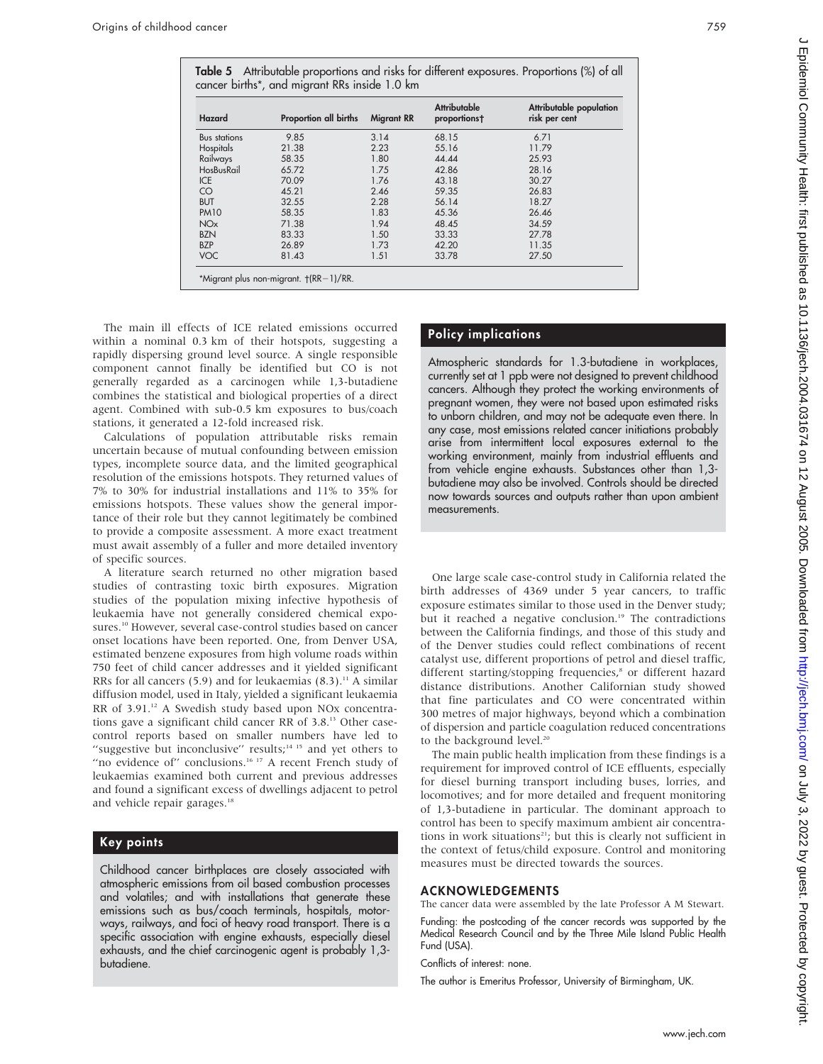| Hazard              | Proportion all births | <b>Migrant RR</b> | <b>Attributable</b><br>proportions† | Attributable population<br>risk per cent |
|---------------------|-----------------------|-------------------|-------------------------------------|------------------------------------------|
| <b>Bus stations</b> | 9.85                  | 3.14              | 68.15                               | 6.71                                     |
| Hospitals           | 21.38                 | 2.23              | 55.16                               | 11.79                                    |
| Railways            | 58.35                 | 1.80              | 44.44                               | 25.93                                    |
| HosBusRail          | 65.72                 | 1.75              | 42.86                               | 28.16                                    |
| <b>ICE</b>          | 70.09                 | 1.76              | 43.18                               | 30.27                                    |
| <b>CO</b>           | 45.21                 | 2.46              | 59.35                               | 26.83                                    |
| <b>BUT</b>          | 32.55                 | 2.28              | 56.14                               | 18.27                                    |
| <b>PM10</b>         | 58.35                 | 1.83              | 45.36                               | 26.46                                    |
| <b>NOx</b>          | 71.38                 | 1.94              | 48.45                               | 34.59                                    |
| <b>BZN</b>          | 83.33                 | 1.50              | 33.33                               | 27.78                                    |
| <b>BZP</b>          | 26.89                 | 1.73              | 42.20                               | 11.35                                    |
| <b>VOC</b>          | 81.43                 | 1.51              | 33.78                               | 27.50                                    |

The main ill effects of ICE related emissions occurred within a nominal 0.3 km of their hotspots, suggesting a rapidly dispersing ground level source. A single responsible component cannot finally be identified but CO is not generally regarded as a carcinogen while 1,3-butadiene combines the statistical and biological properties of a direct agent. Combined with sub-0.5 km exposures to bus/coach stations, it generated a 12-fold increased risk.

Calculations of population attributable risks remain uncertain because of mutual confounding between emission types, incomplete source data, and the limited geographical resolution of the emissions hotspots. They returned values of 7% to 30% for industrial installations and 11% to 35% for emissions hotspots. These values show the general importance of their role but they cannot legitimately be combined to provide a composite assessment. A more exact treatment must await assembly of a fuller and more detailed inventory of specific sources.

A literature search returned no other migration based studies of contrasting toxic birth exposures. Migration studies of the population mixing infective hypothesis of leukaemia have not generally considered chemical exposures.<sup>10</sup> However, several case-control studies based on cancer onset locations have been reported. One, from Denver USA, estimated benzene exposures from high volume roads within 750 feet of child cancer addresses and it yielded significant RRs for all cancers (5.9) and for leukaemias  $(8.3)$ .<sup>11</sup> A similar diffusion model, used in Italy, yielded a significant leukaemia RR of 3.91.<sup>12</sup> A Swedish study based upon NOx concentrations gave a significant child cancer RR of 3.8.13 Other casecontrol reports based on smaller numbers have led to "suggestive but inconclusive" results; $14/15$  and yet others to "no evidence of" conclusions.<sup>16 17</sup> A recent French study of leukaemias examined both current and previous addresses and found a significant excess of dwellings adjacent to petrol and vehicle repair garages.<sup>18</sup>

# Key points

Childhood cancer birthplaces are closely associated with atmospheric emissions from oil based combustion processes and volatiles; and with installations that generate these emissions such as bus/coach terminals, hospitals, motorways, railways, and foci of heavy road transport. There is a specific association with engine exhausts, especially diesel exhausts, and the chief carcinogenic agent is probably 1,3 butadiene.

# Policy implications

Atmospheric standards for 1.3-butadiene in workplaces, currently set at 1 ppb were not designed to prevent childhood cancers. Although they protect the working environments of pregnant women, they were not based upon estimated risks to unborn children, and may not be adequate even there. In any case, most emissions related cancer initiations probably arise from intermittent local exposures external to the working environment, mainly from industrial effluents and from vehicle engine exhausts. Substances other than 1,3 butadiene may also be involved. Controls should be directed now towards sources and outputs rather than upon ambient measurements.

One large scale case-control study in California related the birth addresses of 4369 under 5 year cancers, to traffic exposure estimates similar to those used in the Denver study; but it reached a negative conclusion.<sup>19</sup> The contradictions between the California findings, and those of this study and of the Denver studies could reflect combinations of recent catalyst use, different proportions of petrol and diesel traffic, different starting/stopping frequencies,<sup>8</sup> or different hazard distance distributions. Another Californian study showed that fine particulates and CO were concentrated within 300 metres of major highways, beyond which a combination of dispersion and particle coagulation reduced concentrations to the background level.<sup>20</sup>

The main public health implication from these findings is a requirement for improved control of ICE effluents, especially for diesel burning transport including buses, lorries, and locomotives; and for more detailed and frequent monitoring of 1,3-butadiene in particular. The dominant approach to control has been to specify maximum ambient air concentrations in work situations<sup>21</sup>; but this is clearly not sufficient in the context of fetus/child exposure. Control and monitoring measures must be directed towards the sources.

#### ACKNOWLEDGEMENTS

The cancer data were assembled by the late Professor A M Stewart. Funding: the postcoding of the cancer records was supported by the Medical Research Council and by the Three Mile Island Public Health Fund (USA).

Conflicts of interest: none.

The author is Emeritus Professor, University of Birmingham, UK.